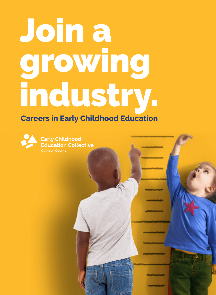# Join a growing industry.

### **Careers in Early Childhood Education**



**Early Childhood Education Collective**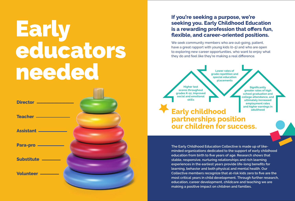## Early educators needed

| Director —       |  |
|------------------|--|
| Teacher ———      |  |
| <b>Assistant</b> |  |
| Para-pro —       |  |
| Substitute —     |  |
| Volunteer —      |  |
|                  |  |

### **If you're seeking a purpose, we're seeking you. Early Childhood Education is a rewarding profession that offers fun, flexible, and career-oriented positions.**

We seek community members who are out-going, patient, have a great rapport with young kids (0-5) and who are open to exploring new career opportunities, who want to enjoy what they do and feel like they're making a real difference.



**Significantly greater rates of high school graduation and college attendance, and ultimately increased employment rates and higher earnings in adulthood**

**Early childhood partnerships position our children for success.** 

**The Early Childhood Education Collective is made up of likeminded organizations dedicated to the support of early childhood education from birth to five years of age. Research shows that stable, responsive, nurturing relationships and rich learning experiences in the earliest years provide life-long benefits for learning, behavior and both physical and mental health. Our Collective members recognize that at-risk kids zero to five are the most critical years in child development. Through further research, education, career development, childcare and teaching we are making a positive impact on children and families.**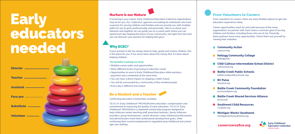### Nurture is our Nature

If nurturing is your nature, Early Childhood Education Collective organizations may be for you. Our "collective" agencies are looking for individuals who have a passion for serving children and families and can provide you with multiple paths for you to grow professionally and personally. Talk to us about your interests and together we can guide you on a career path where you can spend each day helping the future of your community, and right from the start you can discover your passion for helping kids grow.

## Why ECEC?

If your passion in life has always been to help, guide and nurture children, this is the place for you. It has never been about the money first, it's been about helping children.

#### **The benefits in joining our team**

- Multiple career paths and opportunities
- Many different levels of pursuing an educator career
- Opportunities to work in Early Childhood Education while earning a paycheck and a credential at the same time
- You can have a direct impact on shaping a child's future
- You will be surrounded by a community of like-minded people
- Every day is different and unique

## Be a Student and a Teacher



Continuing education scholarships available.

#### **Michigan Works! Southwest** michiganworkssouthwest.org

# **Early** educators needed

T.E.A.C.H. Early Childhood® MICHIGAN links education, compensation and commitment to improving the quality of early education. T.E.A.C.H. Early Childhood® MICHIGAN is a statewide scholarship program designed to help childcare center teaching staff, preschool teachers, family childcare providers, group homeowners, center directors, early childhood professionals and administrators meet their professional development goals, while continuing their current employment in regulated early childhood and school age care settings.

## From Volunteers to Careers

From volunteers to careers, there are many flexible options to get real education experience today.

Career opportunities reach far and wide because of the many organizations we partner with. Each share a common goal of serving children and families, including those who are at risk. Presently these partners have many opportunities. Check them out yourself by viewing their websites.

#### **Community Action**

caascm.org

#### **Kellogg Community College**

## **★ CISD Calhoun Intermediate School District**

kellogg.edu

calhounisd.org

## **Battle Creek Public Schools**

battlecreekpublicschools.org

#### **BC Pulse**

bcpulse.org

#### **Battle Creek Community Foundation**

bccfoundation.org

## **Battle Creek Shared Services Alliance**

bcssa.net

#### **Southwest Child Resources** ccr4kids.org